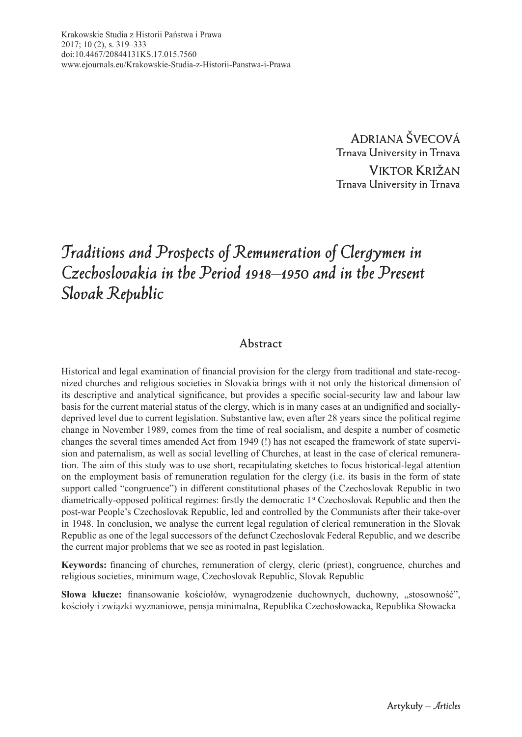**ADRIANA ŠVECOVÁ Trnava University in Trnava VIKTOR KRIŽAN Trnava University in Trnava**

# *Traditions and Prospects of Remuneration of Clergymen in Czechoslovakia in the Period 1918–1950 and in the Present Slovak Republic*

#### **Abstract**

Historical and legal examination of financial provision for the clergy from traditional and state-recognized churches and religious societies in Slovakia brings with it not only the historical dimension of its descriptive and analytical significance, but provides a specific social-security law and labour law basis for the current material status of the clergy, which is in many cases at an undignified and sociallydeprived level due to current legislation. Substantive law, even after 28 years since the political regime change in November 1989, comes from the time of real socialism, and despite a number of cosmetic changes the several times amended Act from 1949 (!) has not escaped the framework of state supervision and paternalism, as well as social levelling of Churches, at least in the case of clerical remuneration. The aim of this study was to use short, recapitulating sketches to focus historical-legal attention on the employment basis of remuneration regulation for the clergy (i.e. its basis in the form of state support called "congruence") in different constitutional phases of the Czechoslovak Republic in two diametrically-opposed political regimes: firstly the democratic  $1<sup>st</sup>$  Czechoslovak Republic and then the post-war People's Czechoslovak Republic, led and controlled by the Communists after their take-over in 1948. In conclusion, we analyse the current legal regulation of clerical remuneration in the Slovak Republic as one of the legal successors of the defunct Czechoslovak Federal Republic, and we describe the current major problems that we see as rooted in past legislation.

Keywords: financing of churches, remuneration of clergy, cleric (priest), congruence, churches and religious societies, minimum wage, Czechoslovak Republic, Slovak Republic

Słowa klucze: finansowanie kościołów, wynagrodzenie duchownych, duchowny, "stosowność", kościoły i związki wyznaniowe, pensja minimalna, Republika Czechosłowacka, Republika Słowacka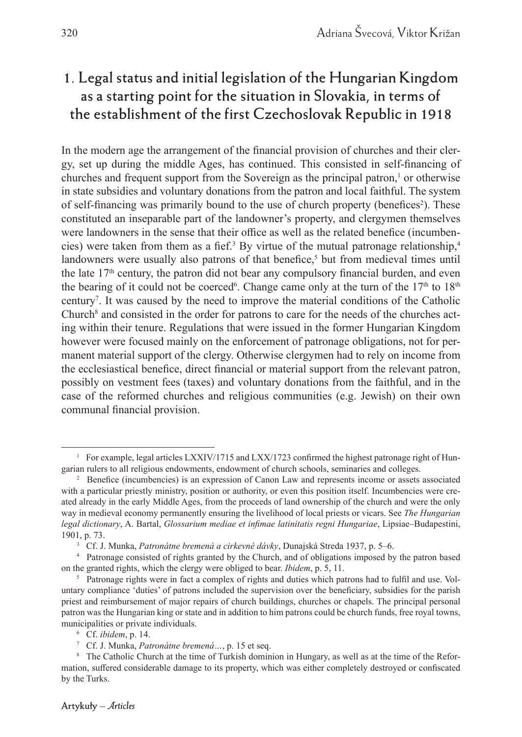## **1. Legal status and initial legislation of the Hungarian Kingdom as a starting point for the situation in Slovakia, in terms of the establishment of the first Czechoslovak Republic in 1918**

In the modern age the arrangement of the financial provision of churches and their clergy, set up during the middle Ages, has continued. This consisted in self-financing of churches and frequent support from the Sovereign as the principal patron,<sup>1</sup> or otherwise in state subsidies and voluntary donations from the patron and local faithful. The system of self-financing was primarily bound to the use of church property (benefices<sup>2</sup>). These constituted an inseparable part of the landowner's property, and clergymen themselves were landowners in the sense that their office as well as the related benefice (incumbencies) were taken from them as a fief.<sup>3</sup> By virtue of the mutual patronage relationship,<sup>4</sup> landowners were usually also patrons of that benefice,<sup>5</sup> but from medieval times until the late  $17<sup>th</sup>$  century, the patron did not bear any compulsory financial burden, and even the bearing of it could not be coerced<sup>6</sup>. Change came only at the turn of the  $17<sup>th</sup>$  to  $18<sup>th</sup>$ century7 . It was caused by the need to improve the material conditions of the Catholic Church<sup>8</sup> and consisted in the order for patrons to care for the needs of the churches acting within their tenure. Regulations that were issued in the former Hungarian Kingdom however were focused mainly on the enforcement of patronage obligations, not for permanent material support of the clergy. Otherwise clergymen had to rely on income from the ecclesiastical benefice, direct financial or material support from the relevant patron, possibly on vestment fees (taxes) and voluntary donations from the faithful, and in the case of the reformed churches and religious communities (e.g. Jewish) on their own communal financial provision.

<sup>&</sup>lt;sup>1</sup> For example, legal articles LXXIV/1715 and LXX/1723 confirmed the highest patronage right of Hungarian rulers to all religious endowments, endowment of church schools, seminaries and colleges. 2

<sup>&</sup>lt;sup>2</sup> Benefice (incumbencies) is an expression of Canon Law and represents income or assets associated with a particular priestly ministry, position or authority, or even this position itself. Incumbencies were created already in the early Middle Ages, from the proceeds of land ownership of the church and were the only way in medieval economy permanently ensuring the livelihood of local priests or vicars. See *The Hungarian*  legal dictionary, A. Bartal, *Glossarium mediae et infimae latinitatis regni Hungariae*, Lipsiae–Budapestini, 1901, p. 73.

<sup>3</sup> Cf. J. Munka, *Patronátne bremená a cirkevné dávky*, Dunajská Streda 1937, p. 5–6.

<sup>4</sup> Patronage consisted of rights granted by the Church, and of obligations imposed by the patron based on the granted rights, which the clergy were obliged to bear. *Ibidem*, p. 5, 11.

<sup>&</sup>lt;sup>5</sup> Patronage rights were in fact a complex of rights and duties which patrons had to fulfil and use. Voluntary compliance 'duties' of patrons included the supervision over the beneficiary, subsidies for the parish priest and reimbursement of major repairs of church buildings, churches or chapels. The principal personal patron was the Hungarian king or state and in addition to him patrons could be church funds, free royal towns, municipalities or private individuals. 6

Cf. *ibidem*, p. 14.

<sup>7</sup> Cf. J. Munka, *Patronátne bremená…*, p. 15 et seq.

<sup>&</sup>lt;sup>8</sup> The Catholic Church at the time of Turkish dominion in Hungary, as well as at the time of the Reformation, suffered considerable damage to its property, which was either completely destroyed or confiscated by the Turks.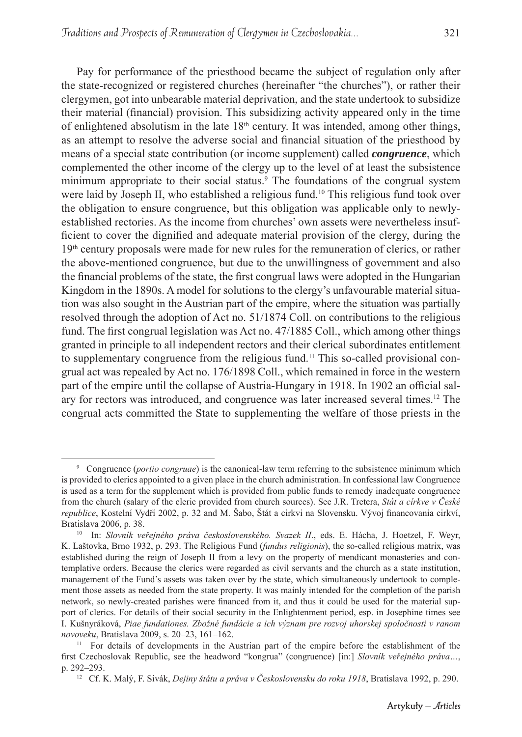Pay for performance of the priesthood became the subject of regulation only after the state-recognized or registered churches (hereinafter "the churches"), or rather their clergymen, got into unbearable material deprivation, and the state undertook to subsidize

their material (financial) provision. This subsidizing activity appeared only in the time of enlightened absolutism in the late  $18<sup>th</sup>$  century. It was intended, among other things, as an attempt to resolve the adverse social and financial situation of the priesthood by means of a special state contribution (or income supplement) called *congruence*, which complemented the other income of the clergy up to the level of at least the subsistence minimum appropriate to their social status.<sup>9</sup> The foundations of the congrual system were laid by Joseph II, who established a religious fund.<sup>10</sup> This religious fund took over the obligation to ensure congruence, but this obligation was applicable only to newlyestablished rectories. As the income from churches' own assets were nevertheless insufficient to cover the dignified and adequate material provision of the clergy, during the 19th century proposals were made for new rules for the remuneration of clerics, or rather the above-mentioned congruence, but due to the unwillingness of government and also the financial problems of the state, the first congrual laws were adopted in the Hungarian Kingdom in the 1890s. A model for solutions to the clergy's unfavourable material situation was also sought in the Austrian part of the empire, where the situation was partially resolved through the adoption of Act no. 51/1874 Coll. on contributions to the religious fund. The first congrual legislation was Act no. 47/1885 Coll., which among other things granted in principle to all independent rectors and their clerical subordinates entitlement to supplementary congruence from the religious fund.<sup>11</sup> This so-called provisional congrual act was repealed by Act no. 176/1898 Coll., which remained in force in the western part of the empire until the collapse of Austria-Hungary in 1918. In 1902 an official salary for rectors was introduced, and congruence was later increased several times.12 The congrual acts committed the State to supplementing the welfare of those priests in the

<sup>9</sup> Congruence (*portio congruae*) is the canonical-law term referring to the subsistence minimum which is provided to clerics appointed to a given place in the church administration. In confessional law Congruence is used as a term for the supplement which is provided from public funds to remedy inadequate congruence from the church (salary of the cleric provided from church sources). See J.R. Tretera, *Stát a církve v České republice*, Kostelní Vydří 2002, p. 32 and M. Šabo, Štát a cirkvi na Slovensku. Vývoj financovania cirkví, Bratislava 2006, p. 38.

<sup>10</sup> In: *Slovník veřejného práva československého. Svazek II*., eds. E. Hácha, J. Hoetzel, F. Weyr, K. Laštovka, Brno 1932, p. 293. The Religious Fund (*fundus religionis*), the so-called religious matrix, was established during the reign of Joseph II from a levy on the property of mendicant monasteries and contemplative orders. Because the clerics were regarded as civil servants and the church as a state institution, management of the Fund's assets was taken over by the state, which simultaneously undertook to complement those assets as needed from the state property. It was mainly intended for the completion of the parish network, so newly-created parishes were financed from it, and thus it could be used for the material support of clerics. For details of their social security in the Enlightenment period, esp. in Josephine times see I. Kušnyráková, *Piae fundationes. Zbožné fundácie a ich význam pre rozvoj uhorskej spoločnosti v ranom novoveku*, Bratislava 2009, s. 20–23, 161–162.<br><sup>11</sup> For details of developments in the Austrian part of the empire before the establishment of the

first Czechoslovak Republic, see the headword "kongrua" (congruence) [in:] *Slovník veřejného práva*..., p. 292–293.

<sup>12</sup> Cf. K. Malý, F. Sivák, *Dejiny štátu a práva v Československu do roku 1918*, Bratislava 1992, p. 290.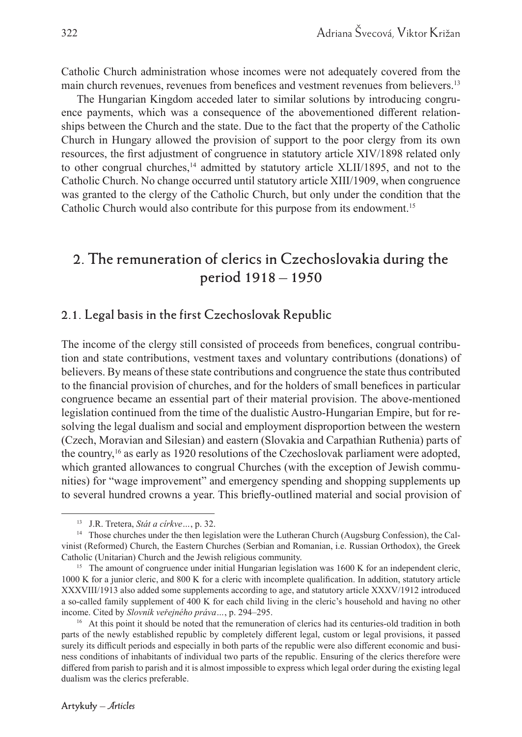Catholic Church administration whose incomes were not adequately covered from the main church revenues, revenues from benefices and vestment revenues from believers.<sup>13</sup>

The Hungarian Kingdom acceded later to similar solutions by introducing congruence payments, which was a consequence of the abovementioned different relationships between the Church and the state. Due to the fact that the property of the Catholic Church in Hungary allowed the provision of support to the poor clergy from its own resources, the first adjustment of congruence in statutory article XIV/1898 related only to other congrual churches,<sup>14</sup> admitted by statutory article XLII/1895, and not to the Catholic Church. No change occurred until statutory article XIII/1909, when congruence was granted to the clergy of the Catholic Church, but only under the condition that the Catholic Church would also contribute for this purpose from its endowment.15

## **2. The remuneration of clerics in Czechoslovakia during the period 1918 – 1950**

#### **2.1. Legal basis in the first Czechoslovak Republic**

The income of the clergy still consisted of proceeds from benefices, congrual contribution and state contributions, vestment taxes and voluntary contributions (donations) of believers. By means of these state contributions and congruence the state thus contributed to the financial provision of churches, and for the holders of small benefices in particular congruence became an essential part of their material provision. The above-mentioned legislation continued from the time of the dualistic Austro-Hungarian Empire, but for resolving the legal dualism and social and employment disproportion between the western (Czech, Moravian and Silesian) and eastern (Slovakia and Carpathian Ruthenia) parts of the country,16 as early as 1920 resolutions of the Czechoslovak parliament were adopted, which granted allowances to congrual Churches (with the exception of Jewish communities) for "wage improvement" and emergency spending and shopping supplements up to several hundred crowns a year. This briefly-outlined material and social provision of

<sup>13</sup> J.R. Tretera, *Stát a církve…*, p. 32.

<sup>&</sup>lt;sup>14</sup> Those churches under the then legislation were the Lutheran Church (Augsburg Confession), the Calvinist (Reformed) Church, the Eastern Churches (Serbian and Romanian, i.e. Russian Orthodox), the Greek Catholic (Unitarian) Church and the Jewish religious community.

<sup>&</sup>lt;sup>15</sup> The amount of congruence under initial Hungarian legislation was 1600 K for an independent cleric, 1000 K for a junior cleric, and 800 K for a cleric with incomplete qualification. In addition, statutory article XXXVIII/1913 also added some supplements according to age, and statutory article XXXV/1912 introduced a so-called family supplement of 400 K for each child living in the cleric's household and having no other income. Cited by *Slovník veřejného práva…*, p. 294–295.

<sup>&</sup>lt;sup>16</sup> At this point it should be noted that the remuneration of clerics had its centuries-old tradition in both parts of the newly established republic by completely different legal, custom or legal provisions, it passed surely its difficult periods and especially in both parts of the republic were also different economic and business conditions of inhabitants of individual two parts of the republic. Ensuring of the clerics therefore were differed from parish to parish and it is almost impossible to express which legal order during the existing legal dualism was the clerics preferable.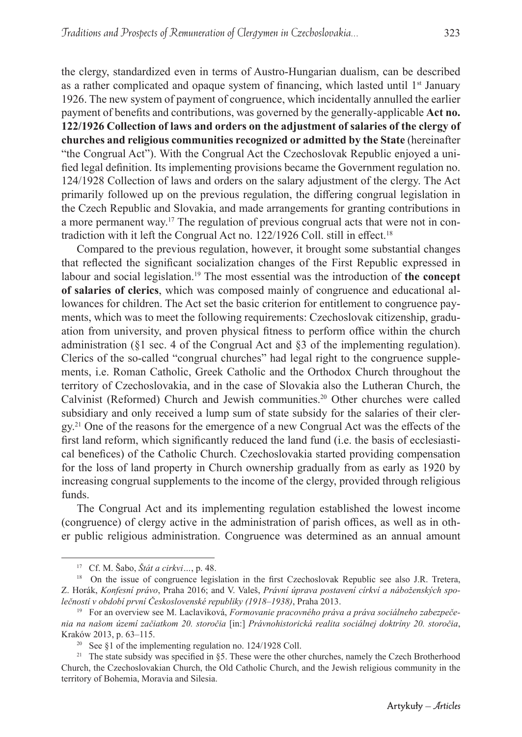payment of benefits and contributions, was governed by the generally-applicable **Act no. 122/1926 Collection of laws and orders on the adjustment of salaries of the clergy of churches and religious communities recognized or admitted by the State** (hereinafter "the Congrual Act"). With the Congrual Act the Czechoslovak Republic enjoyed a unified legal definition. Its implementing provisions became the Government regulation no. 124/1928 Collection of laws and orders on the salary adjustment of the clergy. The Act primarily followed up on the previous regulation, the differing congrual legislation in the Czech Republic and Slovakia, and made arrangements for granting contributions in a more permanent way.17 The regulation of previous congrual acts that were not in contradiction with it left the Congrual Act no.  $122/1926$  Coll. still in effect.<sup>18</sup>

Compared to the previous regulation, however, it brought some substantial changes that reflected the significant socialization changes of the First Republic expressed in labour and social legislation.19 The most essential was the introduction of **the concept of salaries of clerics**, which was composed mainly of congruence and educational allowances for children. The Act set the basic criterion for entitlement to congruence payments, which was to meet the following requirements: Czechoslovak citizenship, graduation from university, and proven physical fitness to perform office within the church administration ( $§$ 1 sec. 4 of the Congrual Act and  $§$ 3 of the implementing regulation). Clerics of the so-called "congrual churches" had legal right to the congruence supplements, i.e. Roman Catholic, Greek Catholic and the Orthodox Church throughout the territory of Czechoslovakia, and in the case of Slovakia also the Lutheran Church, the Calvinist (Reformed) Church and Jewish communities.20 Other churches were called subsidiary and only received a lump sum of state subsidy for the salaries of their cler $gy<sup>21</sup>$  One of the reasons for the emergence of a new Congrual Act was the effects of the first land reform, which significantly reduced the land fund (i.e. the basis of ecclesiastical benefices) of the Catholic Church. Czechoslovakia started providing compensation for the loss of land property in Church ownership gradually from as early as 1920 by increasing congrual supplements to the income of the clergy, provided through religious funds.

The Congrual Act and its implementing regulation established the lowest income (congruence) of clergy active in the administration of parish offices, as well as in other public religious administration. Congruence was determined as an annual amount

<sup>17</sup> Cf. M. Šabo, *Štát a cirkvi…*, p. 48.

<sup>&</sup>lt;sup>18</sup> On the issue of congruence legislation in the first Czechoslovak Republic see also J.R. Tretera, Z. Horák, *Konfesní právo*, Praha 2016; and V. Valeš, *Právní úprava postavení církví a náboženských společností v období první Československé republiky (1918–1938)*, Praha 2013.

<sup>19</sup> For an overview see M. Laclaviková, *Formovanie pracovného práva a práva sociálneho zabezpečenia na našom území začiatkom 20. storočia* [in:] *Právnohistorická realita sociálnej doktríny 20. storočia*, Kraków 2013, p. 63–115.

<sup>20</sup> See §1 of the implementing regulation no. 124/1928 Coll.

<sup>&</sup>lt;sup>21</sup> The state subsidy was specified in §5. These were the other churches, namely the Czech Brotherhood Church, the Czechoslovakian Church, the Old Catholic Church, and the Jewish religious community in the territory of Bohemia, Moravia and Silesia.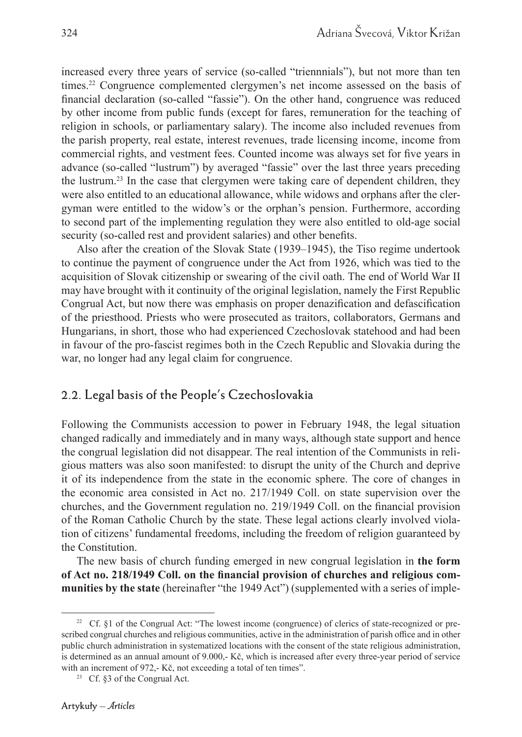increased every three years of service (so-called "triennnials"), but not more than ten times.22 Congruence complemented clergymen's net income assessed on the basis of financial declaration (so-called "fassie"). On the other hand, congruence was reduced by other income from public funds (except for fares, remuneration for the teaching of religion in schools, or parliamentary salary). The income also included revenues from the parish property, real estate, interest revenues, trade licensing income, income from commercial rights, and vestment fees. Counted income was always set for five years in advance (so-called "lustrum") by averaged "fassie" over the last three years preceding the lustrum.23 In the case that clergymen were taking care of dependent children, they were also entitled to an educational allowance, while widows and orphans after the clergyman were entitled to the widow's or the orphan's pension. Furthermore, according to second part of the implementing regulation they were also entitled to old-age social security (so-called rest and provident salaries) and other benefits.

Also after the creation of the Slovak State (1939–1945), the Tiso regime undertook to continue the payment of congruence under the Act from 1926, which was tied to the acquisition of Slovak citizenship or swearing of the civil oath. The end of World War II may have brought with it continuity of the original legislation, namely the First Republic Congrual Act, but now there was emphasis on proper denazification and defascification of the priesthood. Priests who were prosecuted as traitors, collaborators, Germans and Hungarians, in short, those who had experienced Czechoslovak statehood and had been in favour of the pro-fascist regimes both in the Czech Republic and Slovakia during the war, no longer had any legal claim for congruence.

#### **2.2. Legal basis of the People's Czechoslovakia**

Following the Communists accession to power in February 1948, the legal situation changed radically and immediately and in many ways, although state support and hence the congrual legislation did not disappear. The real intention of the Communists in religious matters was also soon manifested: to disrupt the unity of the Church and deprive it of its independence from the state in the economic sphere. The core of changes in the economic area consisted in Act no. 217/1949 Coll. on state supervision over the churches, and the Government regulation no. 219/1949 Coll. on the financial provision of the Roman Catholic Church by the state. These legal actions clearly involved violation of citizens' fundamental freedoms, including the freedom of religion guaranteed by the Constitution.

The new basis of church funding emerged in new congrual legislation in **the form**  of Act no. 218/1949 Coll. on the financial provision of churches and religious com**munities by the state** (hereinafter "the 1949 Act") (supplemented with a series of imple-

<sup>&</sup>lt;sup>22</sup> Cf. §1 of the Congrual Act: "The lowest income (congruence) of clerics of state-recognized or prescribed congrual churches and religious communities, active in the administration of parish office and in other public church administration in systematized locations with the consent of the state religious administration, is determined as an annual amount of 9.000,- Kč, which is increased after every three-year period of service with an increment of 972,- Kč, not exceeding a total of ten times".

<sup>&</sup>lt;sup>23</sup> Cf.  $\S$ 3 of the Congrual Act.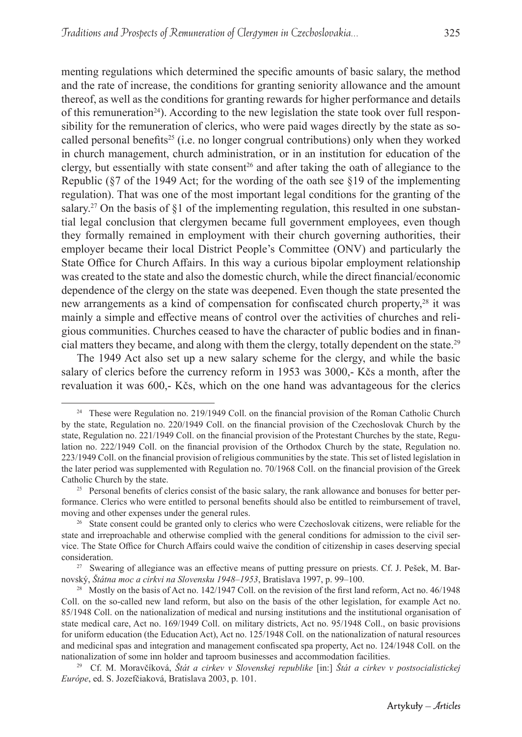menting regulations which determined the specific amounts of basic salary, the method and the rate of increase, the conditions for granting seniority allowance and the amount thereof, as well as the conditions for granting rewards for higher performance and details of this remuneration<sup>24</sup>). According to the new legislation the state took over full responsibility for the remuneration of clerics, who were paid wages directly by the state as socalled personal benefits<sup>25</sup> (i.e. no longer congrual contributions) only when they worked in church management, church administration, or in an institution for education of the clergy, but essentially with state consent<sup>26</sup> and after taking the oath of allegiance to the Republic (§7 of the 1949 Act; for the wording of the oath see §19 of the implementing regulation). That was one of the most important legal conditions for the granting of the salary.<sup>27</sup> On the basis of  $\S1$  of the implementing regulation, this resulted in one substantial legal conclusion that clergymen became full government employees, even though they formally remained in employment with their church governing authorities, their employer became their local District People's Committee (ONV) and particularly the State Office for Church Affairs. In this way a curious bipolar employment relationship was created to the state and also the domestic church, while the direct financial/economic dependence of the clergy on the state was deepened. Even though the state presented the new arrangements as a kind of compensation for confiscated church property,<sup>28</sup> it was mainly a simple and effective means of control over the activities of churches and religious communities. Churches ceased to have the character of public bodies and in financial matters they became, and along with them the clergy, totally dependent on the state.29

The 1949 Act also set up a new salary scheme for the clergy, and while the basic salary of clerics before the currency reform in 1953 was 3000,- Kčs a month, after the revaluation it was 600,- Kčs, which on the one hand was advantageous for the clerics

<sup>&</sup>lt;sup>24</sup> These were Regulation no. 219/1949 Coll. on the financial provision of the Roman Catholic Church by the state, Regulation no. 220/1949 Coll. on the financial provision of the Czechoslovak Church by the state, Regulation no. 221/1949 Coll. on the financial provision of the Protestant Churches by the state, Regulation no. 222/1949 Coll. on the financial provision of the Orthodox Church by the state, Regulation no. 223/1949 Coll. on the financial provision of religious communities by the state. This set of listed legislation in the later period was supplemented with Regulation no. 70/1968 Coll. on the financial provision of the Greek Catholic Church by the state.

<sup>&</sup>lt;sup>25</sup> Personal benefits of clerics consist of the basic salary, the rank allowance and bonuses for better performance. Clerics who were entitled to personal benefits should also be entitled to reimbursement of travel, moving and other expenses under the general rules.

<sup>&</sup>lt;sup>26</sup> State consent could be granted only to clerics who were Czechoslovak citizens, were reliable for the state and irreproachable and otherwise complied with the general conditions for admission to the civil service. The State Office for Church Affairs could waive the condition of citizenship in cases deserving special consideration.

<sup>&</sup>lt;sup>27</sup> Swearing of allegiance was an effective means of putting pressure on priests. Cf. J. Pešek, M. Barnovský, *Štátna moc a cirkvi na Slovensku 1948–1953*, Bratislava 1997, p. 99–100.

<sup>&</sup>lt;sup>28</sup> Mostly on the basis of Act no. 142/1947 Coll. on the revision of the first land reform, Act no. 46/1948 Coll. on the so-called new land reform, but also on the basis of the other legislation, for example Act no. 85/1948 Coll. on the nationalization of medical and nursing institutions and the institutional organisation of state medical care, Act no. 169/1949 Coll. on military districts, Act no. 95/1948 Coll., on basic provisions for uniform education (the Education Act), Act no. 125/1948 Coll. on the nationalization of natural resources and medicinal spas and integration and management confiscated spa property, Act no. 124/1948 Coll. on the nationalization of some inn holder and taproom businesses and accommodation facilities. 29 Cf. M. Moravčíková, *Štát a cirkev v Slovenskej republike* [in:] *Štát a cirkev v postsocialistickej* 

*Európe*, ed. S. Jozefčiaková, Bratislava 2003, p. 101.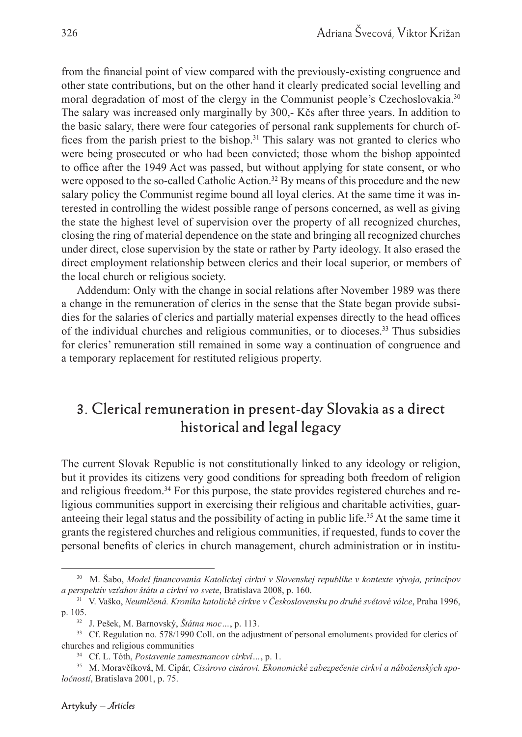from the financial point of view compared with the previously-existing congruence and other state contributions, but on the other hand it clearly predicated social levelling and moral degradation of most of the clergy in the Communist people's Czechoslovakia.30 The salary was increased only marginally by 300,- Kčs after three years. In addition to the basic salary, there were four categories of personal rank supplements for church offices from the parish priest to the bishop.<sup>31</sup> This salary was not granted to clerics who were being prosecuted or who had been convicted; those whom the bishop appointed to office after the 1949 Act was passed, but without applying for state consent, or who were opposed to the so-called Catholic Action.<sup>32</sup> By means of this procedure and the new salary policy the Communist regime bound all loyal clerics. At the same time it was interested in controlling the widest possible range of persons concerned, as well as giving the state the highest level of supervision over the property of all recognized churches, closing the ring of material dependence on the state and bringing all recognized churches under direct, close supervision by the state or rather by Party ideology. It also erased the direct employment relationship between clerics and their local superior, or members of the local church or religious society.

Addendum: Only with the change in social relations after November 1989 was there a change in the remuneration of clerics in the sense that the State began provide subsidies for the salaries of clerics and partially material expenses directly to the head offices of the individual churches and religious communities, or to dioceses.33 Thus subsidies for clerics' remuneration still remained in some way a continuation of congruence and a temporary replacement for restituted religious property.

## **3. Clerical remuneration in present-day Slovakia as a direct historical and legal legacy**

The current Slovak Republic is not constitutionally linked to any ideology or religion, but it provides its citizens very good conditions for spreading both freedom of religion and religious freedom.<sup>34</sup> For this purpose, the state provides registered churches and religious communities support in exercising their religious and charitable activities, guaranteeing their legal status and the possibility of acting in public life.35 At the same time it grants the registered churches and religious communities, if requested, funds to cover the personal benefits of clerics in church management, church administration or in institu-

<sup>&</sup>lt;sup>30</sup> M. Šabo, *Model financovania Katolíckej cirkvi v Slovenskej republike v kontexte vývoja, princípov a perspektív vzťahov štátu a cirkví vo svete*, Bratislava 2008, p. 160.

<sup>31</sup> V. Vaško, *Neumlčená. Kronika katolické církve v Československu po druhé světové válce*, Praha 1996, p. 105.

<sup>32</sup> J. Pešek, M. Barnovský, *Štátna moc…*, p. 113.

<sup>&</sup>lt;sup>33</sup> Cf. Regulation no. 578/1990 Coll. on the adjustment of personal emoluments provided for clerics of churches and religious communities

<sup>34</sup> Cf. L. Tóth, *Postavenie zamestnancov cirkví…*, p. 1.

<sup>35</sup> M. Moravčíková, M. Cipár, *Cisárovo cisárovi. Ekonomické zabezpečenie cirkví a náboženských spoločností*, Bratislava 2001, p. 75.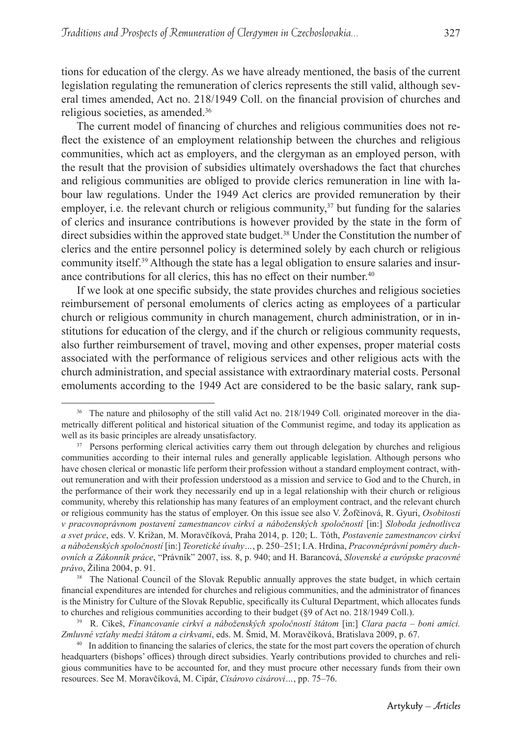tions for education of the clergy. As we have already mentioned, the basis of the current legislation regulating the remuneration of clerics represents the still valid, although several times amended, Act no. 218/1949 Coll. on the financial provision of churches and religious societies, as amended.36

The current model of financing of churches and religious communities does not reflect the existence of an employment relationship between the churches and religious communities, which act as employers, and the clergyman as an employed person, with the result that the provision of subsidies ultimately overshadows the fact that churches and religious communities are obliged to provide clerics remuneration in line with labour law regulations. Under the 1949 Act clerics are provided remuneration by their employer, i.e. the relevant church or religious community, $37$  but funding for the salaries of clerics and insurance contributions is however provided by the state in the form of direct subsidies within the approved state budget.<sup>38</sup> Under the Constitution the number of clerics and the entire personnel policy is determined solely by each church or religious community itself.39 Although the state has a legal obligation to ensure salaries and insurance contributions for all clerics, this has no effect on their number. $40$ 

If we look at one specific subsidy, the state provides churches and religious societies reimbursement of personal emoluments of clerics acting as employees of a particular church or religious community in church management, church administration, or in institutions for education of the clergy, and if the church or religious community requests, also further reimbursement of travel, moving and other expenses, proper material costs associated with the performance of religious services and other religious acts with the church administration, and special assistance with extraordinary material costs. Personal emoluments according to the 1949 Act are considered to be the basic salary, rank sup-

<sup>38</sup> The National Council of the Slovak Republic annually approves the state budget, in which certain financial expenditures are intended for churches and religious communities, and the administrator of finances is the Ministry for Culture of the Slovak Republic, specifically its Cultural Department, which allocates funds to churches and religious communities according to their budget (§9 of Act no. 218/1949 Coll.).

327

<sup>&</sup>lt;sup>36</sup> The nature and philosophy of the still valid Act no. 218/1949 Coll. originated moreover in the diametrically different political and historical situation of the Communist regime, and today its application as well as its basic principles are already unsatisfactory.

<sup>&</sup>lt;sup>37</sup> Persons performing clerical activities carry them out through delegation by churches and religious communities according to their internal rules and generally applicable legislation. Although persons who have chosen clerical or monastic life perform their profession without a standard employment contract, without remuneration and with their profession understood as a mission and service to God and to the Church, in the performance of their work they necessarily end up in a legal relationship with their church or religious community, whereby this relationship has many features of an employment contract, and the relevant church or religious community has the status of employer. On this issue see also V. Žofčinová, R. Gyuri, *Osobitosti v pracovnoprávnom postavení zamestnancov cirkví a náboženských spoločností* [in:] *Sloboda jednotlivca a svet práce*, eds. V. Križan, M. MoravčÍková, Praha 2014, p. 120; L. Tóth, *Postavenie zamestnancov cirkví a náboženských spoločností* [in:] *Teoretické úvahy…*, p. 250–251; I.A. Hrdina, *Pracovněprávní poměry duchovních a Zákonník práce*, "Právník" 2007, iss. 8, p. 940; and H. Barancová, *Slovenské a európske pracovné právo*, Žilina 2004, p. 91.

<sup>39</sup> R. Cikeš, *Financovanie cirkví a náboženských spoločností štátom* [in:] *Clara pacta – boni amici. Zmluvné vzťahy medzi štátom a cirkvami*, eds. M. Šmid, M. Moravčíková, Bratislava 2009, p. 67.

<sup>&</sup>lt;sup>40</sup> In addition to financing the salaries of clerics, the state for the most part covers the operation of church headquarters (bishops' offices) through direct subsidies. Yearly contributions provided to churches and religious communities have to be accounted for, and they must procure other necessary funds from their own resources. See M. Moravčíková, M. Cipár, *Cisárovo cisárovi…*, pp. 75–76.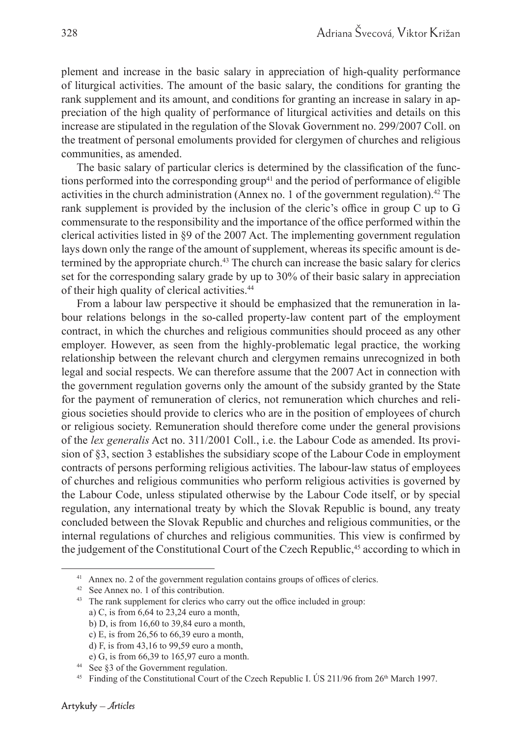plement and increase in the basic salary in appreciation of high-quality performance of liturgical activities. The amount of the basic salary, the conditions for granting the rank supplement and its amount, and conditions for granting an increase in salary in appreciation of the high quality of performance of liturgical activities and details on this increase are stipulated in the regulation of the Slovak Government no. 299/2007 Coll. on the treatment of personal emoluments provided for clergymen of churches and religious communities, as amended.

The basic salary of particular clerics is determined by the classification of the functions performed into the corresponding group<sup>41</sup> and the period of performance of eligible activities in the church administration (Annex no. 1 of the government regulation).<sup>42</sup> The rank supplement is provided by the inclusion of the cleric's office in group  $C$  up to  $G$ commensurate to the responsibility and the importance of the office performed within the clerical activities listed in §9 of the 2007 Act. The implementing government regulation lays down only the range of the amount of supplement, whereas its specific amount is determined by the appropriate church.43 The church can increase the basic salary for clerics set for the corresponding salary grade by up to 30% of their basic salary in appreciation of their high quality of clerical activities.44

From a labour law perspective it should be emphasized that the remuneration in labour relations belongs in the so-called property-law content part of the employment contract, in which the churches and religious communities should proceed as any other employer. However, as seen from the highly-problematic legal practice, the working relationship between the relevant church and clergymen remains unrecognized in both legal and social respects. We can therefore assume that the 2007 Act in connection with the government regulation governs only the amount of the subsidy granted by the State for the payment of remuneration of clerics, not remuneration which churches and religious societies should provide to clerics who are in the position of employees of church or religious society. Remuneration should therefore come under the general provisions of the *lex generalis* Act no. 311/2001 Coll., i.e. the Labour Code as amended. Its provision of §3, section 3 establishes the subsidiary scope of the Labour Code in employment contracts of persons performing religious activities. The labour-law status of employees of churches and religious communities who perform religious activities is governed by the Labour Code, unless stipulated otherwise by the Labour Code itself, or by special regulation, any international treaty by which the Slovak Republic is bound, any treaty concluded between the Slovak Republic and churches and religious communities, or the internal regulations of churches and religious communities. This view is confirmed by the judgement of the Constitutional Court of the Czech Republic, 45 according to which in

 $41$  Annex no. 2 of the government regulation contains groups of offices of clerics.

<sup>42</sup> See Annex no. 1 of this contribution.

<sup>&</sup>lt;sup>43</sup> The rank supplement for clerics who carry out the office included in group: a) C, is from 6,64 to 23,24 euro a month,

b) D, is from 16,60 to 39,84 euro a month, c) E, is from 26,56 to 66,39 euro a month,

d) F, is from 43,16 to 99,59 euro a month,

e) G, is from 66,39 to 165,97 euro a month.

<sup>44</sup> See §3 of the Government regulation.

<sup>&</sup>lt;sup>45</sup> Finding of the Constitutional Court of the Czech Republic I. US 211/96 from 26<sup>th</sup> March 1997.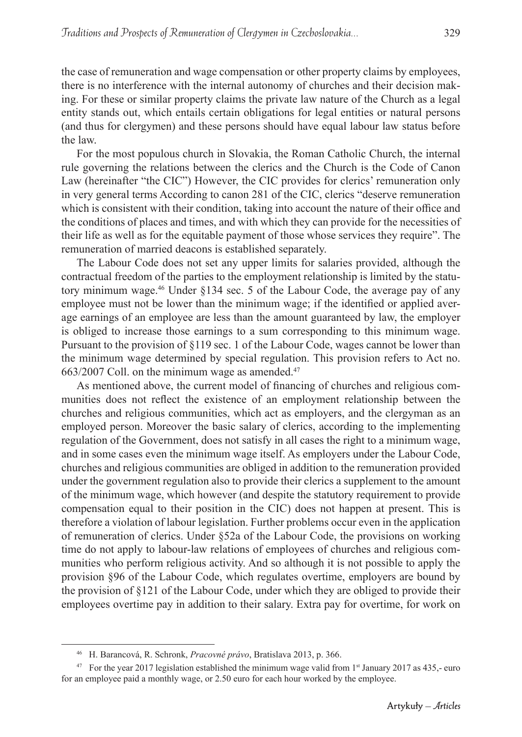the case of remuneration and wage compensation or other property claims by employees, there is no interference with the internal autonomy of churches and their decision making. For these or similar property claims the private law nature of the Church as a legal entity stands out, which entails certain obligations for legal entities or natural persons (and thus for clergymen) and these persons should have equal labour law status before the law.

For the most populous church in Slovakia, the Roman Catholic Church, the internal rule governing the relations between the clerics and the Church is the Code of Canon Law (hereinafter "the CIC") However, the CIC provides for clerics' remuneration only in very general terms According to canon 281 of the CIC, clerics "deserve remuneration which is consistent with their condition, taking into account the nature of their office and the conditions of places and times, and with which they can provide for the necessities of their life as well as for the equitable payment of those whose services they require". The remuneration of married deacons is established separately.

The Labour Code does not set any upper limits for salaries provided, although the contractual freedom of the parties to the employment relationship is limited by the statutory minimum wage.<sup>46</sup> Under  $\S$ 134 sec. 5 of the Labour Code, the average pay of any employee must not be lower than the minimum wage; if the identified or applied average earnings of an employee are less than the amount guaranteed by law, the employer is obliged to increase those earnings to a sum corresponding to this minimum wage. Pursuant to the provision of §119 sec. 1 of the Labour Code, wages cannot be lower than the minimum wage determined by special regulation. This provision refers to Act no.  $663/2007$  Coll. on the minimum wage as amended.<sup>47</sup>

As mentioned above, the current model of financing of churches and religious communities does not reflect the existence of an employment relationship between the churches and religious communities, which act as employers, and the clergyman as an employed person. Moreover the basic salary of clerics, according to the implementing regulation of the Government, does not satisfy in all cases the right to a minimum wage, and in some cases even the minimum wage itself. As employers under the Labour Code, churches and religious communities are obliged in addition to the remuneration provided under the government regulation also to provide their clerics a supplement to the amount of the minimum wage, which however (and despite the statutory requirement to provide compensation equal to their position in the CIC) does not happen at present. This is therefore a violation of labour legislation. Further problems occur even in the application of remuneration of clerics. Under §52a of the Labour Code, the provisions on working time do not apply to labour-law relations of employees of churches and religious communities who perform religious activity. And so although it is not possible to apply the provision §96 of the Labour Code, which regulates overtime, employers are bound by the provision of §121 of the Labour Code, under which they are obliged to provide their employees overtime pay in addition to their salary. Extra pay for overtime, for work on

329

<sup>46</sup> H. Barancová, R. Schronk, *Pracovné právo*, Bratislava 2013, p. 366.

<sup>&</sup>lt;sup>47</sup> For the year 2017 legislation established the minimum wage valid from  $1<sup>st</sup>$  January 2017 as 435,- euro for an employee paid a monthly wage, or 2.50 euro for each hour worked by the employee.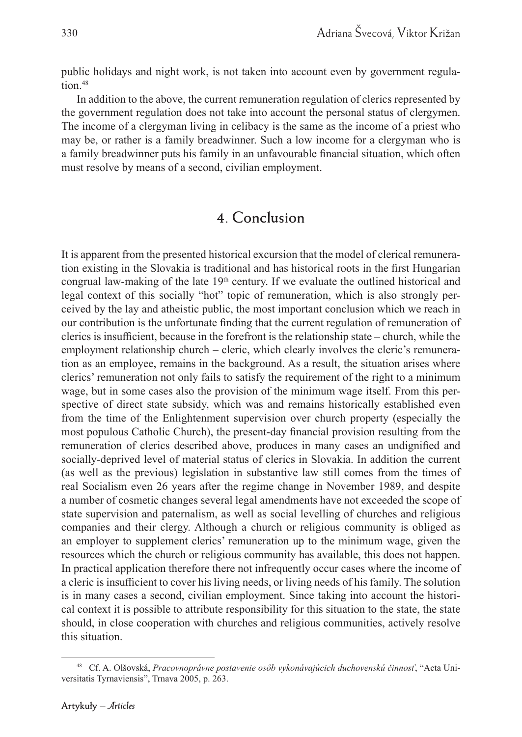public holidays and night work, is not taken into account even by government regulation.<sup>48</sup>

In addition to the above, the current remuneration regulation of clerics represented by the government regulation does not take into account the personal status of clergymen. The income of a clergyman living in celibacy is the same as the income of a priest who may be, or rather is a family breadwinner. Such a low income for a clergyman who is a family breadwinner puts his family in an unfavourable financial situation, which often must resolve by means of a second, civilian employment.

### **4. Conclusion**

It is apparent from the presented historical excursion that the model of clerical remuneration existing in the Slovakia is traditional and has historical roots in the first Hungarian congrual law-making of the late  $19<sup>th</sup>$  century. If we evaluate the outlined historical and legal context of this socially "hot" topic of remuneration, which is also strongly perceived by the lay and atheistic public, the most important conclusion which we reach in our contribution is the unfortunate finding that the current regulation of remuneration of clerics is insufficient, because in the forefront is the relationship state – church, while the employment relationship church – cleric, which clearly involves the cleric's remuneration as an employee, remains in the background. As a result, the situation arises where clerics' remuneration not only fails to satisfy the requirement of the right to a minimum wage, but in some cases also the provision of the minimum wage itself. From this perspective of direct state subsidy, which was and remains historically established even from the time of the Enlightenment supervision over church property (especially the most populous Catholic Church), the present-day financial provision resulting from the remuneration of clerics described above, produces in many cases an undignified and socially-deprived level of material status of clerics in Slovakia. In addition the current (as well as the previous) legislation in substantive law still comes from the times of real Socialism even 26 years after the regime change in November 1989, and despite a number of cosmetic changes several legal amendments have not exceeded the scope of state supervision and paternalism, as well as social levelling of churches and religious companies and their clergy. Although a church or religious community is obliged as an employer to supplement clerics' remuneration up to the minimum wage, given the resources which the church or religious community has available, this does not happen. In practical application therefore there not infrequently occur cases where the income of a cleric is insufficient to cover his living needs, or living needs of his family. The solution is in many cases a second, civilian employment. Since taking into account the historical context it is possible to attribute responsibility for this situation to the state, the state should, in close cooperation with churches and religious communities, actively resolve this situation.

<sup>48</sup> Cf. A. Olšovská, *Pracovnoprávne postavenie osôb vykonávajúcich duchovenskú činnosť*, "Acta Universitatis Tyrnaviensis", Trnava 2005, p. 263.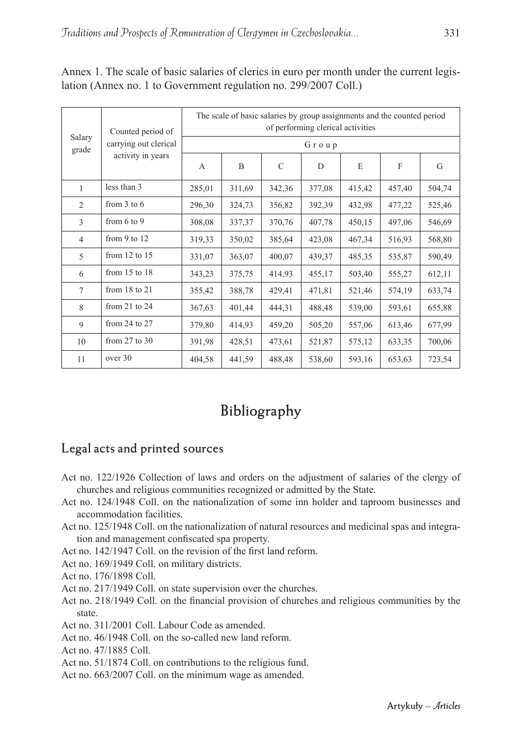| Salary<br>grade | Counted period of<br>carrying out clerical<br>activity in years | The scale of basic salaries by group assignments and the counted period<br>of performing clerical activities |        |               |        |        |        |        |
|-----------------|-----------------------------------------------------------------|--------------------------------------------------------------------------------------------------------------|--------|---------------|--------|--------|--------|--------|
|                 |                                                                 | Group                                                                                                        |        |               |        |        |        |        |
|                 |                                                                 | A                                                                                                            | B      | $\mathcal{C}$ | D      | E      | F      | G      |
| 1               | less than 3                                                     | 285,01                                                                                                       | 311,69 | 342,36        | 377,08 | 415,42 | 457,40 | 504,74 |
| $\overline{c}$  | from $3$ to $6$                                                 | 296,30                                                                                                       | 324,73 | 356,82        | 392,39 | 432,98 | 477,22 | 525,46 |
| 3               | from $6$ to $9$                                                 | 308,08                                                                                                       | 337,37 | 370,76        | 407,78 | 450,15 | 497,06 | 546,69 |
| $\overline{4}$  | from $9$ to $12$                                                | 319,33                                                                                                       | 350,02 | 385,64        | 423,08 | 467,34 | 516,93 | 568,80 |
| 5               | from $12$ to $15$                                               | 331,07                                                                                                       | 363,07 | 400,07        | 439,37 | 485,35 | 535,87 | 590,49 |
| 6               | from $15$ to $18$                                               | 343,23                                                                                                       | 375,75 | 414,93        | 455,17 | 503,40 | 555,27 | 612,11 |
| $\tau$          | from $18$ to $21$                                               | 355,42                                                                                                       | 388,78 | 429,41        | 471,81 | 521,46 | 574,19 | 633,74 |
| 8               | from $21$ to $24$                                               | 367,63                                                                                                       | 401,44 | 444,31        | 488,48 | 539,00 | 593,61 | 655,88 |
| 9               | from $24$ to $27$                                               | 379,80                                                                                                       | 414,93 | 459,20        | 505,20 | 557,06 | 613,46 | 677,99 |
| 10              | from $27$ to $30$                                               | 391,98                                                                                                       | 428,51 | 473,61        | 521,87 | 575,12 | 633,35 | 700,06 |
| 11              | over 30                                                         | 404,58                                                                                                       | 441,59 | 488,48        | 538,60 | 593,16 | 653,63 | 723,54 |

Annex 1. The scale of basic salaries of clerics in euro per month under the current legislation (Annex no. 1 to Government regulation no. 299/2007 Coll.)

# **Bibliography**

### **Legal acts and printed sources**

- Act no. 122/1926 Collection of laws and orders on the adjustment of salaries of the clergy of churches and religious communities recognized or admitted by the State.
- Act no. 124/1948 Coll. on the nationalization of some inn holder and taproom businesses and accommodation facilities.
- Act no. 125/1948 Coll. on the nationalization of natural resources and medicinal spas and integration and management confiscated spa property.
- Act no. 142/1947 Coll. on the revision of the first land reform.
- Act no. 169/1949 Coll. on military districts.
- Act no. 176/1898 Coll.
- Act no. 217/1949 Coll. on state supervision over the churches.
- Act no. 218/1949 Coll. on the financial provision of churches and religious communities by the state.
- Act no. 311/2001 Coll. Labour Code as amended.
- Act no. 46/1948 Coll. on the so-called new land reform.
- Act no. 47/1885 Coll.
- Act no. 51/1874 Coll. on contributions to the religious fund.
- Act no. 663/2007 Coll. on the minimum wage as amended.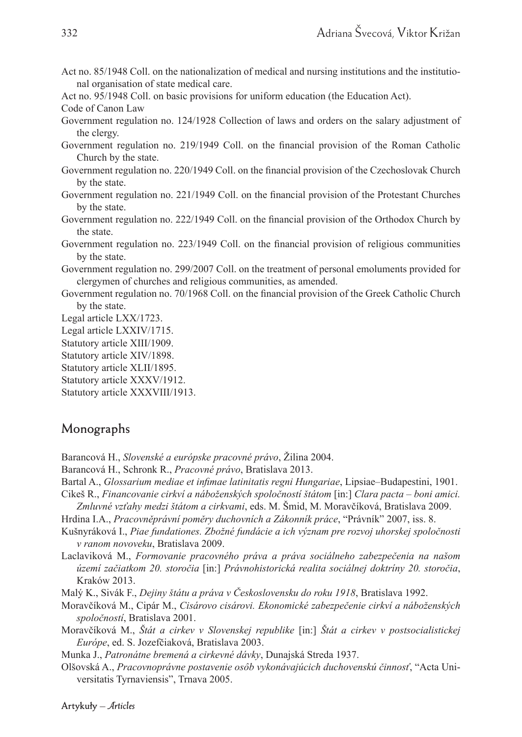- Act no. 85/1948 Coll. on the nationalization of medical and nursing institutions and the institutional organisation of state medical care.
- Act no. 95/1948 Coll. on basic provisions for uniform education (the Education Act).

Code of Canon Law

- Government regulation no. 124/1928 Collection of laws and orders on the salary adjustment of the clergy.
- Government regulation no. 219/1949 Coll. on the financial provision of the Roman Catholic Church by the state.
- Government regulation no. 220/1949 Coll. on the financial provision of the Czechoslovak Church by the state.
- Government regulation no. 221/1949 Coll. on the financial provision of the Protestant Churches by the state.
- Government regulation no. 222/1949 Coll. on the financial provision of the Orthodox Church by the state.
- Government regulation no. 223/1949 Coll. on the financial provision of religious communities by the state.
- Government regulation no. 299/2007 Coll. on the treatment of personal emoluments provided for clergymen of churches and religious communities, as amended.
- Government regulation no. 70/1968 Coll. on the financial provision of the Greek Catholic Church by the state.
- Legal article LXX/1723.
- Legal article LXXIV/1715.
- Statutory article XIII/1909.
- Statutory article XIV/1898.
- Statutory article XLII/1895.
- Statutory article XXXV/1912.
- Statutory article XXXVIII/1913.

### **Monographs**

- Barancová H., *Slovenské a európske pracovné právo*, Žilina 2004.
- Barancová H., Schronk R., *Pracovné právo*, Bratislava 2013.
- Bartal A., *Glossarium mediae et infimae latinitatis regni Hungariae*, Lipsiae–Budapestini, 1901.
- Cikeš R., *Financovanie cirkví a náboženských spoločností štátom* [in:] *Clara pacta boni amici. Zmluvné vzťahy medzi štátom a cirkvami*, eds. M. Šmid, M. Moravčíková, Bratislava 2009.
- Hrdina I.A., *Pracovněprávní poměry duchovních a Zákonník práce*, "Právník" 2007, iss. 8.
- Kušnyráková I., *Piae fundationes. Zbožné fundácie a ich význam pre rozvoj uhorskej spoločnosti v ranom novoveku*, Bratislava 2009.
- Laclaviková M., *Formovanie pracovného práva a práva sociálneho zabezpečenia na našom území začiatkom 20. storočia* [in:] *Právnohistorická realita sociálnej doktríny 20. storočia*, Kraków 2013.
- Malý K., Sivák F., *Dejiny štátu a práva v Československu do roku 1918*, Bratislava 1992.
- Moravčíková M., Cipár M., *Cisárovo cisárovi. Ekonomické zabezpečenie cirkví a náboženských spoločností*, Bratislava 2001.
- Moravčíková M., *Štát a cirkev v Slovenskej republike* [in:] *Štát a cirkev v postsocialistickej Európe*, ed. S. Jozefčiaková, Bratislava 2003.
- Munka J., *Patronátne bremená a cirkevné dávky*, Dunajská Streda 1937.
- Olšovská A., *Pracovnoprávne postavenie osôb vykonávajúcich duchovenskú činnosť*, "Acta Universitatis Tyrnaviensis", Trnava 2005.